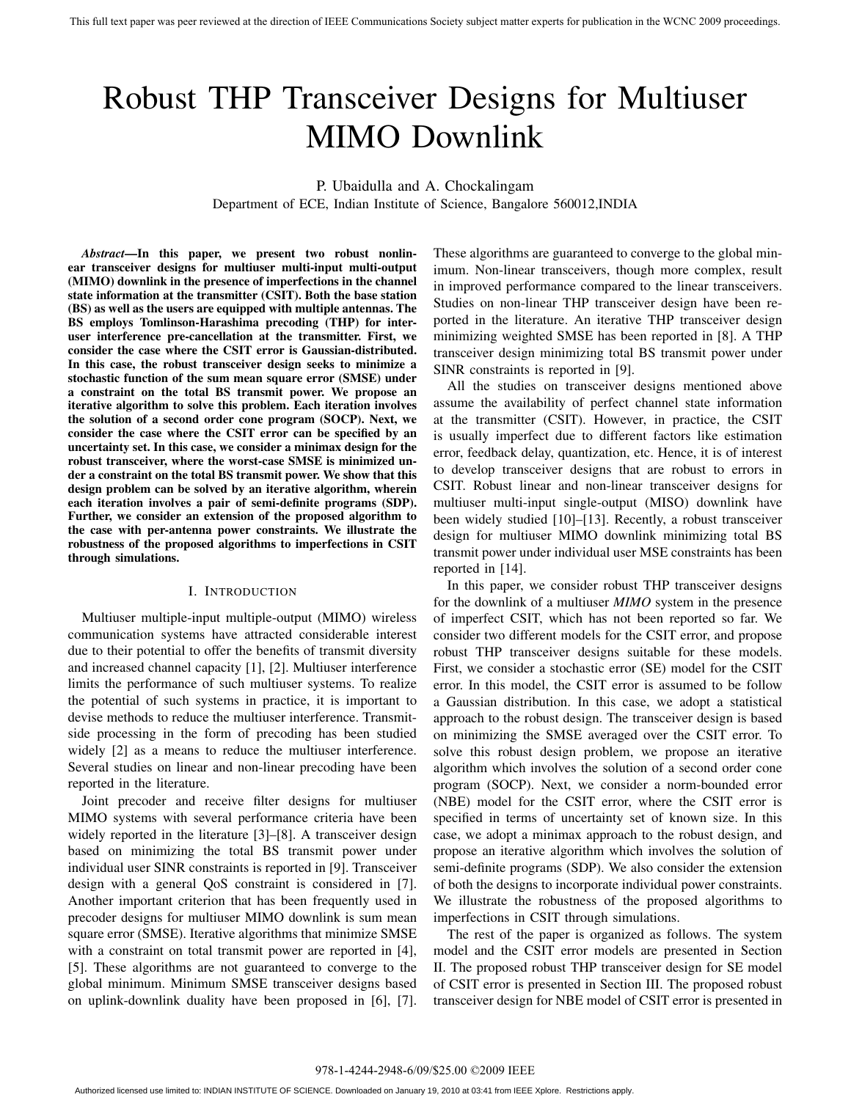# Robust THP Transceiver Designs for Multiuser MIMO Downlink

P. Ubaidulla and A. Chockalingam

Department of ECE, Indian Institute of Science, Bangalore 560012,INDIA

*Abstract***—In this paper, we present two robust nonlinear transceiver designs for multiuser multi-input multi-output (MIMO) downlink in the presence of imperfections in the channel state information at the transmitter (CSIT). Both the base station (BS) as well as the users are equipped with multiple antennas. The BS employs Tomlinson-Harashima precoding (THP) for interuser interference pre-cancellation at the transmitter. First, we consider the case where the CSIT error is Gaussian-distributed. In this case, the robust transceiver design seeks to minimize a stochastic function of the sum mean square error (SMSE) under a constraint on the total BS transmit power. We propose an iterative algorithm to solve this problem. Each iteration involves the solution of a second order cone program (SOCP). Next, we consider the case where the CSIT error can be specified by an uncertainty set. In this case, we consider a minimax design for the robust transceiver, where the worst-case SMSE is minimized under a constraint on the total BS transmit power. We show that this design problem can be solved by an iterative algorithm, wherein each iteration involves a pair of semi-definite programs (SDP). Further, we consider an extension of the proposed algorithm to the case with per-antenna power constraints. We illustrate the robustness of the proposed algorithms to imperfections in CSIT through simulations.**

# I. INTRODUCTION

Multiuser multiple-input multiple-output (MIMO) wireless communication systems have attracted considerable interest due to their potential to offer the benefits of transmit diversity and increased channel capacity [1], [2]. Multiuser interference limits the performance of such multiuser systems. To realize the potential of such systems in practice, it is important to devise methods to reduce the multiuser interference. Transmitside processing in the form of precoding has been studied widely [2] as a means to reduce the multiuser interference. Several studies on linear and non-linear precoding have been reported in the literature.

Joint precoder and receive filter designs for multiuser MIMO systems with several performance criteria have been widely reported in the literature [3]–[8]. A transceiver design based on minimizing the total BS transmit power under individual user SINR constraints is reported in [9]. Transceiver design with a general QoS constraint is considered in [7]. Another important criterion that has been frequently used in precoder designs for multiuser MIMO downlink is sum mean square error (SMSE). Iterative algorithms that minimize SMSE with a constraint on total transmit power are reported in [4], [5]. These algorithms are not guaranteed to converge to the global minimum. Minimum SMSE transceiver designs based on uplink-downlink duality have been proposed in [6], [7].

These algorithms are guaranteed to converge to the global minimum. Non-linear transceivers, though more complex, result in improved performance compared to the linear transceivers. Studies on non-linear THP transceiver design have been reported in the literature. An iterative THP transceiver design minimizing weighted SMSE has been reported in [8]. A THP transceiver design minimizing total BS transmit power under SINR constraints is reported in [9].

All the studies on transceiver designs mentioned above assume the availability of perfect channel state information at the transmitter (CSIT). However, in practice, the CSIT is usually imperfect due to different factors like estimation error, feedback delay, quantization, etc. Hence, it is of interest to develop transceiver designs that are robust to errors in CSIT. Robust linear and non-linear transceiver designs for multiuser multi-input single-output (MISO) downlink have been widely studied [10]–[13]. Recently, a robust transceiver design for multiuser MIMO downlink minimizing total BS transmit power under individual user MSE constraints has been reported in [14].

In this paper, we consider robust THP transceiver designs for the downlink of a multiuser *MIMO* system in the presence of imperfect CSIT, which has not been reported so far. We consider two different models for the CSIT error, and propose robust THP transceiver designs suitable for these models. First, we consider a stochastic error (SE) model for the CSIT error. In this model, the CSIT error is assumed to be follow a Gaussian distribution. In this case, we adopt a statistical approach to the robust design. The transceiver design is based on minimizing the SMSE averaged over the CSIT error. To solve this robust design problem, we propose an iterative algorithm which involves the solution of a second order cone program (SOCP). Next, we consider a norm-bounded error (NBE) model for the CSIT error, where the CSIT error is specified in terms of uncertainty set of known size. In this case, we adopt a minimax approach to the robust design, and propose an iterative algorithm which involves the solution of semi-definite programs (SDP). We also consider the extension of both the designs to incorporate individual power constraints. We illustrate the robustness of the proposed algorithms to imperfections in CSIT through simulations.

The rest of the paper is organized as follows. The system model and the CSIT error models are presented in Section II. The proposed robust THP transceiver design for SE model of CSIT error is presented in Section III. The proposed robust transceiver design for NBE model of CSIT error is presented in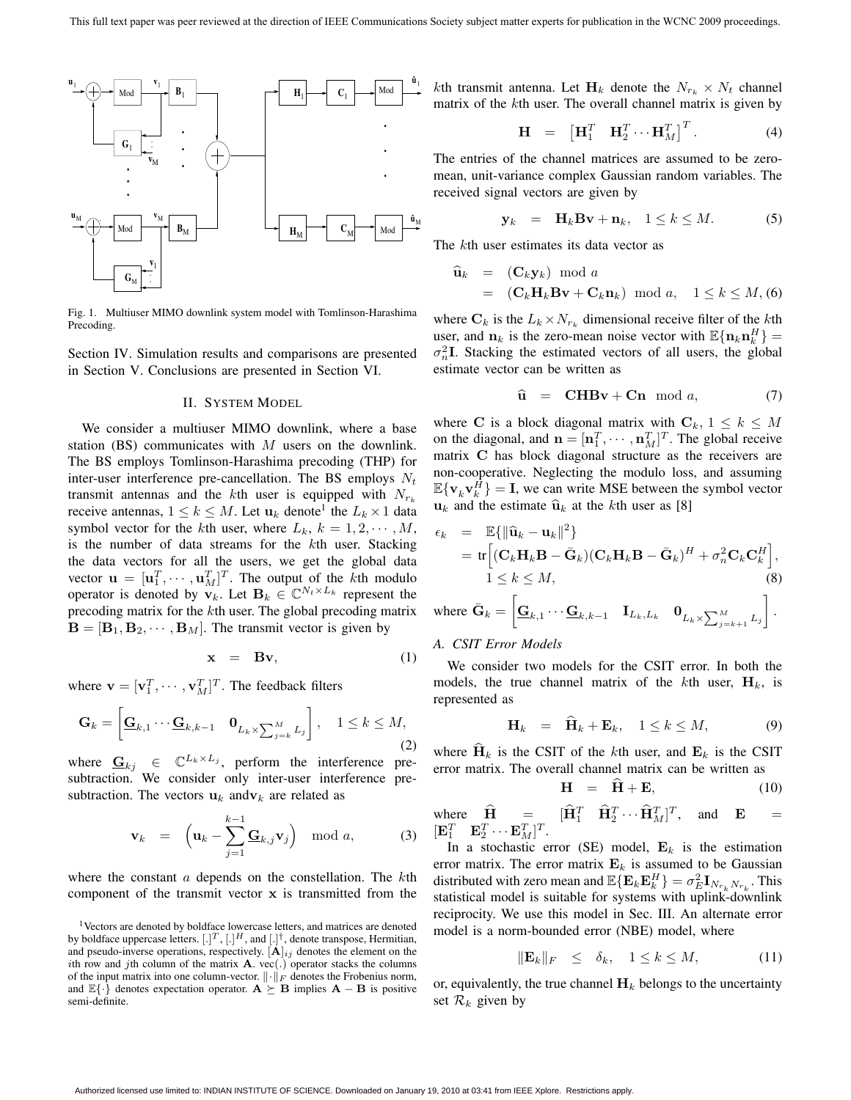

Fig. 1. Multiuser MIMO downlink system model with Tomlinson-Harashima Precoding.

Section IV. Simulation results and comparisons are presented in Section V. Conclusions are presented in Section VI.

## II. SYSTEM MODEL

We consider a multiuser MIMO downlink, where a base station (BS) communicates with  $M$  users on the downlink. The BS employs Tomlinson-Harashima precoding (THP) for inter-user interference pre-cancellation. The BS employs  $N_t$ transmit antennas and the kth user is equipped with  $N_{r_k}$ receive antennas,  $1 \leq k \leq M$ . Let  $\mathbf{u}_k$  denote<sup>1</sup> the  $L_k \times 1$  data symbol vector for the kth user, where  $L_k$ ,  $k = 1, 2, \dots, M$ , is the number of data streams for the kth user. Stacking the data vectors for all the users, we get the global data vector  $\mathbf{u} = [\mathbf{u}_1^T, \cdots, \mathbf{u}_M^T]^T$ . The output of the kth modulo operator is denoted by  $\mathbf{v}_1$ . Let  $\mathbf{B}_1 \in \mathbb{C}^{N_t \times L_k}$  represent the operator is denoted by  $\mathbf{v}_k$ . Let  $\mathbf{B}_k \in \mathbb{C}^{N_t \times L_k}$  represent the precoding matrix for the kth user. The global precoding matrix  $\mathbf{B} = [\mathbf{B}_1, \mathbf{B}_2, \cdots, \mathbf{B}_M]$ . The transmit vector is given by

$$
\mathbf{x} = \mathbf{B}\mathbf{v}, \tag{1}
$$

where  $\mathbf{v} = [\mathbf{v}_1^T, \cdots, \mathbf{v}_M^T]^T$ . The feedback filters

$$
\mathbf{G}_k = \begin{bmatrix} \mathbf{G}_{k,1} \cdots \mathbf{G}_{k,k-1} & \mathbf{0}_{L_k \times \sum_{j=k}^M L_j} \end{bmatrix}, \quad 1 \le k \le M,
$$
\n(2)

where  $\mathbf{G}_{kj} \in \mathbb{C}^{L_k \times L_j}$ , perform the interference presubtraction. We consider only inter-user interference presubtraction. The vectors  $\mathbf{u}_k$  and  $\mathbf{v}_k$  are related as

$$
\mathbf{v}_k = \left(\mathbf{u}_k - \sum_{j=1}^{k-1} \mathbf{G}_{k,j} \mathbf{v}_j\right) \mod a,\tag{3}
$$

where the constant  $a$  depends on the constellation. The  $k$ th component of the transmit vector **x** is transmitted from the

1Vectors are denoted by boldface lowercase letters, and matrices are denoted by boldface uppercase letters.  $[.]^T, [.]^H,$  and  $[.]^{\dagger}$ , denote transpose, Hermitian, and pseudo-inverse operations, respectively.  $[\mathbf{A}]_{ij}$  denotes the element on the ith row and jth column of the matrix  $A$ . vec(.) operator stacks the columns of the input matrix into one column-vector.  $\|\cdot\|_F$  denotes the Frobenius norm, and  $\mathbb{E}\{\cdot\}$  denotes expectation operator.  $\mathbf{A} \succeq \mathbf{B}$  implies  $\mathbf{A} - \mathbf{B}$  is positive semi-definite.

kth transmit antenna. Let  $H_k$  denote the  $N_{r_k} \times N_t$  channel matrix of the kth user. The overall channel matrix is given by

$$
\mathbf{H} = \begin{bmatrix} \mathbf{H}_1^T & \mathbf{H}_2^T \cdots \mathbf{H}_M^T \end{bmatrix}^T.
$$
 (4)

The entries of the channel matrices are assumed to be zeromean, unit-variance complex Gaussian random variables. The received signal vectors are given by

$$
\mathbf{y}_k = \mathbf{H}_k \mathbf{B} \mathbf{v} + \mathbf{n}_k, \quad 1 \le k \le M. \tag{5}
$$

The kth user estimates its data vector as

$$
\begin{array}{rcl}\n\widehat{\mathbf{u}}_k & = & (\mathbf{C}_k \mathbf{y}_k) \mod a \\
& = & (\mathbf{C}_k \mathbf{H}_k \mathbf{B} \mathbf{v} + \mathbf{C}_k \mathbf{n}_k) \mod a, \quad 1 \le k \le M, \text{(6)}\n\end{array}
$$

where  $C_k$  is the  $L_k \times N_{r_k}$  dimensional receive filter of the kth user, and  $\mathbf{n}_k$  is the zero-mean noise vector with  $\mathbb{E}\{\mathbf{n}_k \mathbf{n}_k^H\} = \sigma^2 \mathbf{I}$ . Stacking the estimated vectors of all users, the global  $\sigma_n^2$ **I**. Stacking the estimated vectors of all users, the global estimate vector can be written as estimate vector can be written as

$$
\widehat{\mathbf{u}} = \mathbf{CHBv} + \mathbf{Cn} \mod a, \tag{7}
$$

where **C** is a block diagonal matrix with  $\mathbf{C}_k$ ,  $1 \leq k \leq M$ <br>on the diagonal and  $\mathbf{n} = [\mathbf{n}^T, \dots, \mathbf{n}^T]^T$ . The global receive on the diagonal, and  $\mathbf{n} = [\mathbf{n}_1^T, \cdots, \mathbf{n}_M^T]^T$ . The global receiver only notice the receiver are matrix **C** has block diagonal structure as the receivers are non-cooperative. Neglecting the modulo loss, and assuming  $\mathbb{E}\{\mathbf{v}_k \mathbf{v}_k^H\} = \mathbf{I}$ , we can write MSE between the symbol vector  $\mathbf{u}_k$  and the estimate  $\hat{\mathbf{u}}_k$  at the kth user as [8]

$$
\epsilon_k = \mathbb{E}\{\|\widehat{\mathbf{u}}_k - \mathbf{u}_k\|^2\}
$$
  
=  $\text{tr}\Big[ (\mathbf{C}_k \mathbf{H}_k \mathbf{B} - \bar{\mathbf{G}}_k)(\mathbf{C}_k \mathbf{H}_k \mathbf{B} - \bar{\mathbf{G}}_k)^H + \sigma_n^2 \mathbf{C}_k \mathbf{C}_k^H \Big],$   
 $1 \le k \le M,$  (8)

where 
$$
\bar{\mathbf{G}}_k = \begin{bmatrix} \mathbf{G}_{k,1} \cdots \mathbf{G}_{k,k-1} & \mathbf{I}_{L_k, L_k} & \mathbf{0}_{L_k \times \sum_{j=k+1}^M L_j} \end{bmatrix}
$$
.

# *A. CSIT Error Models*

We consider two models for the CSIT error. In both the models, the true channel matrix of the kth user,  $H_k$ , is represented as

$$
\mathbf{H}_k = \hat{\mathbf{H}}_k + \mathbf{E}_k, \quad 1 \le k \le M,\tag{9}
$$

where  $H_k$  is the CSIT of the kth user, and  $E_k$  is the CSIT error matrix. The overall channel matrix can be written as error matrix. The overall channel matrix can be written as

$$
\mathbf{H} = \hat{\mathbf{H}} + \mathbf{E}, \tag{10}
$$

where  $\mathbf{\hat{H}} = [\mathbf{\hat{H}}_1^T \quad \mathbf{\hat{H}}_2^T \cdots \mathbf{\hat{H}}_M^T]^T$ , and  $\mathbf{E} = [\mathbf{E}_1^T \quad \mathbf{E}_2^T \cdots \mathbf{E}_M^T]^T$  $[\mathbf{E}_1^T \quad \mathbf{E}_2^T \cdots \mathbf{E}_M^T]^T.$ <br>In a stochastic e

In a stochastic error (SE) model,  $E_k$  is the estimation error matrix. The error matrix  $\mathbf{E}_k$  is assumed to be Gaussian distributed with zero mean and  $\mathbb{E}\{\mathbf{E}_k \mathbf{E}_k^H\} = \sigma_E^2 \mathbf{I}_{N_{r_k} N_{r_k}}$ . This statistical model is suitable for systems with uplink-downlink reciprocity. We use this model in Sec. III. An alternate error model is a norm-bounded error (NBE) model, where

$$
\|\mathbf{E}_k\|_F \le \delta_k, \quad 1 \le k \le M,\tag{11}
$$

or, equivalently, the true channel  $H_k$  belongs to the uncertainty set  $\mathcal{R}_k$  given by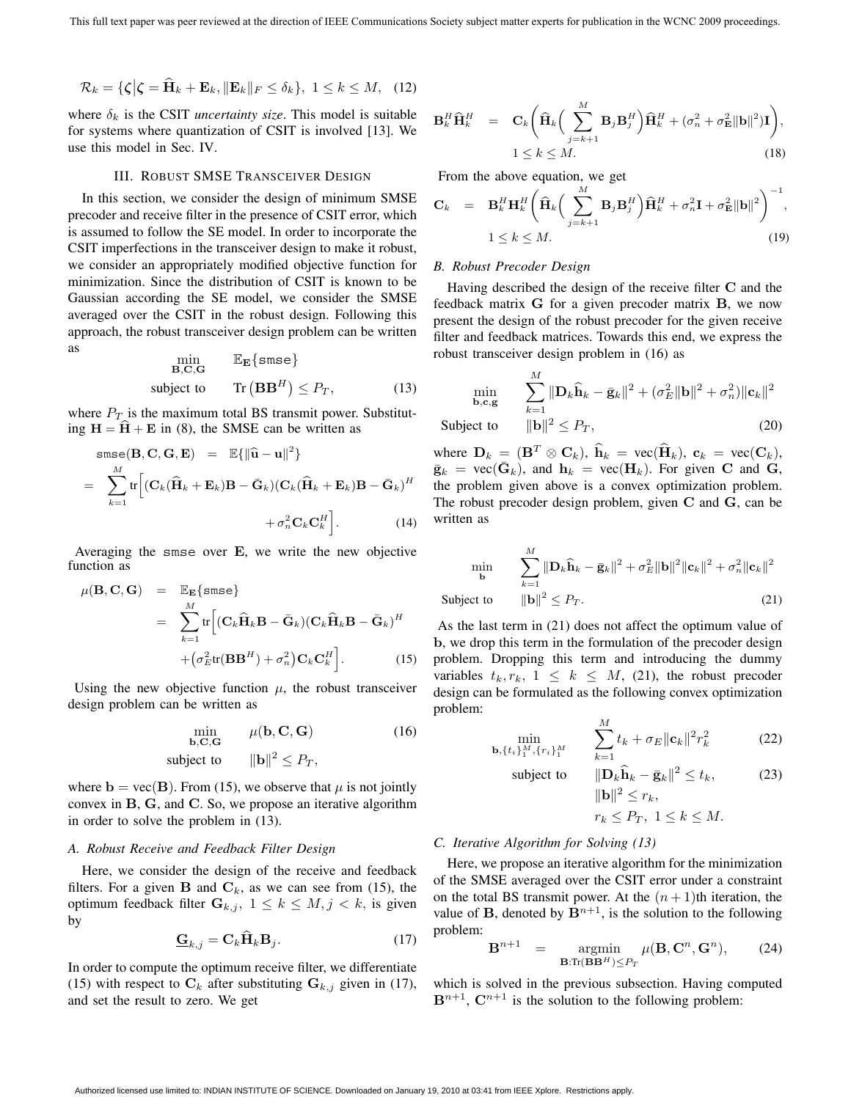$$
\mathcal{R}_k = \{ \zeta | \zeta = \widehat{\mathbf{H}}_k + \mathbf{E}_k, \|\mathbf{E}_k\|_F \le \delta_k \}, \ 1 \le k \le M, \quad (12)
$$

where  $\delta_k$  is the CSIT *uncertainty size*. This model is suitable for systems where quantization of CSIT is involved [13]. We use this model in Sec. IV.

# III. ROBUST SMSE TRANSCEIVER DESIGN

In this section, we consider the design of minimum SMSE precoder and receive filter in the presence of CSIT error, which is assumed to follow the SE model. In order to incorporate the CSIT imperfections in the transceiver design to make it robust, we consider an appropriately modified objective function for minimization. Since the distribution of CSIT is known to be Gaussian according the SE model, we consider the SMSE averaged over the CSIT in the robust design. Following this approach, the robust transceiver design problem can be written as

$$
\min_{\mathbf{B}, \mathbf{C}, \mathbf{G}} \qquad \mathbb{E}_{\mathbf{E}} \{ \text{smse} \}
$$
\n
$$
\text{subject to} \qquad \text{Tr} \left( \mathbf{B} \mathbf{B}^H \right) \le P_T, \tag{13}
$$

where  $P_T$  is the maximum total BS transmit power. Substituting  $H = H + E$  in (8), the SMSE can be written as

$$
\text{smse}(\mathbf{B}, \mathbf{C}, \mathbf{G}, \mathbf{E}) = \mathbb{E}\{\|\hat{\mathbf{u}} - \mathbf{u}\|^2\}
$$
\n
$$
= \sum_{k=1}^{M} \text{tr}\Big[ (\mathbf{C}_k(\hat{\mathbf{H}}_k + \mathbf{E}_k)\mathbf{B} - \bar{\mathbf{G}}_k)(\mathbf{C}_k(\hat{\mathbf{H}}_k + \mathbf{E}_k)\mathbf{B} - \bar{\mathbf{G}}_k)^H
$$
\n
$$
+ \sigma_n^2 \mathbf{C}_k \mathbf{C}_k^H \Big]. \tag{14}
$$

Averaging the smse over **E**, we write the new objective function as

$$
\mu(\mathbf{B}, \mathbf{C}, \mathbf{G}) = \mathbb{E}_{\mathbf{E}} \{ \text{smse} \}
$$
  
= 
$$
\sum_{k=1}^{M} tr \Big[ (\mathbf{C}_k \hat{\mathbf{H}}_k \mathbf{B} - \bar{\mathbf{G}}_k) (\mathbf{C}_k \hat{\mathbf{H}}_k \mathbf{B} - \bar{\mathbf{G}}_k)^H
$$
  
+ 
$$
(\sigma_E^2 tr(\mathbf{B} \mathbf{B}^H) + \sigma_n^2) \mathbf{C}_k \mathbf{C}_k^H \Big].
$$
 (15)

Using the new objective function  $\mu$ , the robust transceiver design problem can be written as

$$
\min_{\mathbf{b}, \mathbf{C}, \mathbf{G}} \qquad \mu(\mathbf{b}, \mathbf{C}, \mathbf{G}) \tag{16}
$$
\n
$$
\text{subject to} \qquad \|\mathbf{b}\|^2 \le P_T,
$$

where  $\mathbf{b} = \text{vec}(\mathbf{B})$ . From (15), we observe that  $\mu$  is not jointly convex in **B**, **G**, and **C**. So, we propose an iterative algorithm in order to solve the problem in (13).

#### *A. Robust Receive and Feedback Filter Design*

Here, we consider the design of the receive and feedback filters. For a given **B** and  $C_k$ , as we can see from (15), the optimum feedback filter  $\mathbf{G}_{k,j}$ ,  $1 \leq k \leq M, j < k$ , is given by

$$
\mathbf{\underline{G}}_{k,j} = \mathbf{C}_k \mathbf{H}_k \mathbf{B}_j. \tag{17}
$$

In order to compute the optimum receive filter, we differentiate (15) with respect to  $\mathbf{C}_k$  after substituting  $\mathbf{G}_{k,j}$  given in (17), and set the result to zero. We get

$$
\mathbf{B}_{k}^{H} \widehat{\mathbf{H}}_{k}^{H} = \mathbf{C}_{k} \bigg( \widehat{\mathbf{H}}_{k} \bigg( \sum_{j=k+1}^{M} \mathbf{B}_{j} \mathbf{B}_{j}^{H} \bigg) \widehat{\mathbf{H}}_{k}^{H} + (\sigma_{n}^{2} + \sigma_{\mathbf{E}}^{2} \|\mathbf{b}\|^{2}) \mathbf{I} \bigg),
$$
  
1 \le k \le M. (18)

From the above equation, we get

$$
\mathbf{C}_{k} = \mathbf{B}_{k}^{H} \mathbf{H}_{k}^{H} \left( \widehat{\mathbf{H}}_{k} \left( \sum_{j=k+1}^{M} \mathbf{B}_{j} \mathbf{B}_{j}^{H} \right) \widehat{\mathbf{H}}_{k}^{H} + \sigma_{n}^{2} \mathbf{I} + \sigma_{\mathbf{E}}^{2} \|\mathbf{b}\|^{2} \right)^{-1},
$$
  
 
$$
1 \leq k \leq M.
$$
 (19)

## *B. Robust Precoder Design*

Having described the design of the receive filter **C** and the feedback matrix **G** for a given precoder matrix **B**, we now present the design of the robust precoder for the given receive filter and feedback matrices. Towards this end, we express the robust transceiver design problem in (16) as

$$
\min_{\mathbf{b}, \mathbf{c}, \mathbf{g}} \quad \sum_{k=1}^{M} \|\mathbf{D}_k \widehat{\mathbf{h}}_k - \bar{\mathbf{g}}_k\|^2 + (\sigma_E^2 \|\mathbf{b}\|^2 + \sigma_n^2) \|\mathbf{c}_k\|^2
$$

Subject to  $\|\mathbf{b}\|^2 \leq P_T$ , (20)

where  $\mathbf{D}_k = (\mathbf{B}^T \otimes \mathbf{C}_k)$ ,  $\mathbf{\hat{h}}_k = \text{vec}(\mathbf{\hat{H}}_k)$ ,  $\mathbf{c}_k = \text{vec}(\mathbf{C}_k)$ ,  $\mathbf{\bar{e}}_k = \text{vec}(\mathbf{C}_k)$ , and  $\mathbf{h}_k = \text{vec}(\mathbf{H}_k)$ . For given **C** and **G**  $\bar{\mathbf{g}}_k = \text{vec}(\bar{\mathbf{G}}_k)$ , and  $\mathbf{h}_k = \text{vec}(\mathbf{H}_k)$ . For given **C** and **G**, the problem given above is a convex optimization problem. The robust precoder design problem, given **C** and **G**, can be written as

$$
\min_{\mathbf{b}} \qquad \sum_{k=1}^{M} \|\mathbf{D}_k \widehat{\mathbf{h}}_k - \bar{\mathbf{g}}_k\|^2 + \sigma_E^2 \|\mathbf{b}\|^2 \|\mathbf{c}_k\|^2 + \sigma_n^2 \|\mathbf{c}_k\|^2
$$
\n
$$
\text{Subject to } \qquad \|\mathbf{b}\|^2 \le P_T. \tag{21}
$$

As the last term in (21) does not affect the optimum value of **b**, we drop this term in the formulation of the precoder design problem. Dropping this term and introducing the dummy variables  $t_k, r_k, 1 \leq k \leq M$ , (21), the robust precoder design can be formulated as the following convex optimization problem:  $\overline{M}$ 

$$
\min_{\mathbf{b}, \{t_i\}_{1}^{M}, \{r_i\}_{1}^{M}} \qquad \sum_{k=1}^{M} t_k + \sigma_E \|\mathbf{c}_k\|^2 r_k^2 \tag{22}
$$

subject to 
$$
\|\mathbf{D}_k\hat{\mathbf{h}}_k - \bar{\mathbf{g}}_k\|^2 \le t_k,
$$
 (23)  

$$
\|\mathbf{b}\|^2 \le r_k,
$$
  

$$
r_k \le P_T, \ 1 \le k \le M.
$$

#### *C. Iterative Algorithm for Solving (13)*

Here, we propose an iterative algorithm for the minimization of the SMSE averaged over the CSIT error under a constraint on the total BS transmit power. At the  $(n+1)$ th iteration, the value of **B**, denoted by  $\mathbf{B}^{n+1}$ , is the solution to the following problem:

$$
\mathbf{B}^{n+1} = \operatorname*{argmin}_{\mathbf{B}: \text{Tr}(\mathbf{B}\mathbf{B}^H) \leq P_T} \mu(\mathbf{B}, \mathbf{C}^n, \mathbf{G}^n), \qquad (24)
$$

which is solved in the previous subsection. Having computed  $\mathbf{B}^{n+1}$ ,  $\mathbf{C}^{n+1}$  is the solution to the following problem: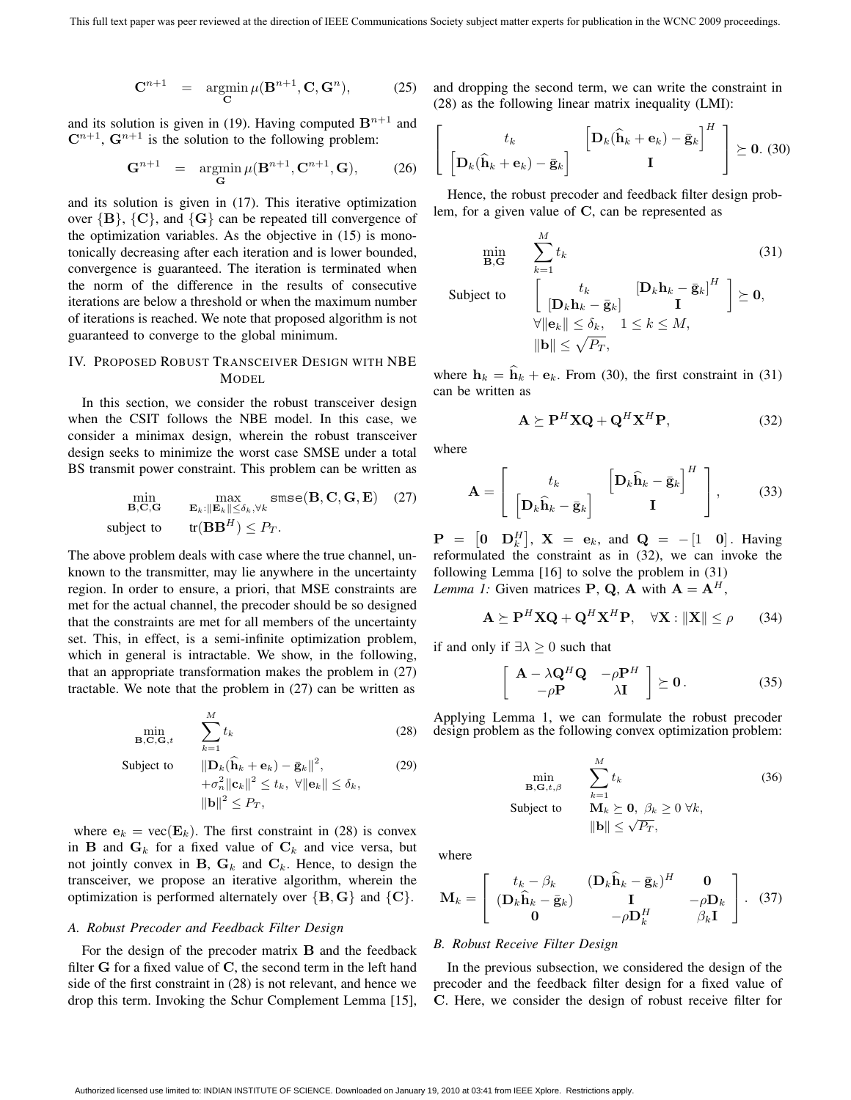$$
\mathbf{C}^{n+1} = \underset{\mathbf{C}}{\operatorname{argmin}} \mu(\mathbf{B}^{n+1}, \mathbf{C}, \mathbf{G}^n), \quad (25)
$$

and its solution is given in (19). Having computed  $\mathbf{B}^{n+1}$  and  $\mathbf{C}^{n+1}$ ,  $\mathbf{G}^{n+1}$  is the solution to the following problem:

$$
\mathbf{G}^{n+1} = \underset{\mathbf{G}}{\operatorname{argmin}} \mu(\mathbf{B}^{n+1}, \mathbf{C}^{n+1}, \mathbf{G}), \qquad (26)
$$

and its solution is given in (17). This iterative optimization over  ${B}$ ,  ${C}$ , and  ${G}$  can be repeated till convergence of the optimization variables. As the objective in (15) is monotonically decreasing after each iteration and is lower bounded, convergence is guaranteed. The iteration is terminated when the norm of the difference in the results of consecutive iterations are below a threshold or when the maximum number of iterations is reached. We note that proposed algorithm is not guaranteed to converge to the global minimum.

# IV. PROPOSED ROBUST TRANSCEIVER DESIGN WITH NBE MODEL

In this section, we consider the robust transceiver design when the CSIT follows the NBE model. In this case, we consider a minimax design, wherein the robust transceiver design seeks to minimize the worst case SMSE under a total BS transmit power constraint. This problem can be written as

$$
\min_{\mathbf{B},\mathbf{C},\mathbf{G}} \max_{\mathbf{E}_k: \|\mathbf{E}_k\| \le \delta_k, \forall k} \text{smse}(\mathbf{B}, \mathbf{C}, \mathbf{G}, \mathbf{E}) \quad (27)
$$
\n
$$
\text{subject to} \quad \text{tr}(\mathbf{B}\mathbf{B}^H) \le P_T.
$$

The above problem deals with case where the true channel, unknown to the transmitter, may lie anywhere in the uncertainty region. In order to ensure, a priori, that MSE constraints are met for the actual channel, the precoder should be so designed that the constraints are met for all members of the uncertainty set. This, in effect, is a semi-infinite optimization problem, which in general is intractable. We show, in the following, that an appropriate transformation makes the problem in (27) tractable. We note that the problem in (27) can be written as

$$
\min_{\mathbf{B},\mathbf{C},\mathbf{G},t} \qquad \sum_{k=1}^{M} t_k \tag{28}
$$

Subject to

$$
\|\mathbf{D}_k(\widehat{\mathbf{h}}_k + \mathbf{e}_k) - \bar{\mathbf{g}}_k\|^2, \tag{29}
$$
  
 
$$
+\sigma_n^2 \|\mathbf{c}_k\|^2 \le t_k, \ \forall \|\mathbf{e}_k\| \le \delta_k, \
$$
  
 
$$
\|\mathbf{b}\|^2 \le P_T,
$$

where  $\mathbf{e}_k = \text{vec}(\mathbf{E}_k)$ . The first constraint in (28) is convex in **B** and  $\mathbf{G}_k$  for a fixed value of  $\mathbf{C}_k$  and vice versa, but not jointly convex in **B**,  $\mathbf{G}_k$  and  $\mathbf{C}_k$ . Hence, to design the transceiver, we propose an iterative algorithm, wherein the optimization is performed alternately over  ${B, G}$  and  ${C}$ .

# *A. Robust Precoder and Feedback Filter Design*

For the design of the precoder matrix **B** and the feedback filter **G** for a fixed value of **C**, the second term in the left hand side of the first constraint in (28) is not relevant, and hence we drop this term. Invoking the Schur Complement Lemma [15], and dropping the second term, we can write the constraint in (28) as the following linear matrix inequality (LMI):

$$
\begin{bmatrix} t_k & \left[ \mathbf{D}_k(\widehat{\mathbf{h}}_k + \mathbf{e}_k) - \bar{\mathbf{g}}_k \right]^H \\ \left[ \mathbf{D}_k(\widehat{\mathbf{h}}_k + \mathbf{e}_k) - \bar{\mathbf{g}}_k \right] & \mathbf{I} \end{bmatrix} \succeq \mathbf{0}. \tag{30}
$$

Hence, the robust precoder and feedback filter design problem, for a given value of **C**, can be represented as

$$
\min_{\mathbf{B},\mathbf{G}} \quad \sum_{k=1}^{M} t_k \quad (31)
$$
\n
$$
\text{Subject to} \quad \begin{bmatrix} t_k & [\mathbf{D}_k \mathbf{h}_k - \bar{\mathbf{g}}_k]^H \\ [\mathbf{D}_k \mathbf{h}_k - \bar{\mathbf{g}}_k] & \mathbf{I} \end{bmatrix} \succeq \mathbf{0},
$$
\n
$$
\forall \|\mathbf{e}_k\| \le \delta_k, \quad 1 \le k \le M,
$$
\n
$$
\|\mathbf{b}\| \le \sqrt{P_T},
$$

where  $h_k = h_k + e_k$ . From (30), the first constraint in (31) can be written as

$$
\mathbf{A} \succeq \mathbf{P}^H \mathbf{X} \mathbf{Q} + \mathbf{Q}^H \mathbf{X}^H \mathbf{P},\tag{32}
$$

where

$$
\mathbf{A} = \begin{bmatrix} t_k & \left[ \mathbf{D}_k \hat{\mathbf{h}}_k - \bar{\mathbf{g}}_k \right]^H \\ \left[ \mathbf{D}_k \hat{\mathbf{h}}_k - \bar{\mathbf{g}}_k \right] & \mathbf{I} \end{bmatrix}, \quad (33)
$$

 $P = \begin{bmatrix} 0 & D_h^H \end{bmatrix}$ ,  $X = e_k$ , and  $Q = - \begin{bmatrix} 1 & 0 \end{bmatrix}$ . Having reformulated the constraint as in (32), we can invoke the reformulated the constraint as in (32), we can invoke the following Lemma [16] to solve the problem in (31) *Lemma 1:* Given matrices **P**, **Q**, **A** with  $A = A^H$ ,

$$
\mathbf{A} \succeq \mathbf{P}^H \mathbf{X} \mathbf{Q} + \mathbf{Q}^H \mathbf{X}^H \mathbf{P}, \quad \forall \mathbf{X} : \|\mathbf{X}\| \le \rho \qquad (34)
$$

if and only if  $\exists \lambda \geq 0$  such that

$$
\left[\begin{array}{cc} \mathbf{A} - \lambda \mathbf{Q}^H \mathbf{Q} & -\rho \mathbf{P}^H \\ -\rho \mathbf{P} & \lambda \mathbf{I} \end{array}\right] \succeq 0. \tag{35}
$$

Applying Lemma 1, we can formulate the robust precoder design problem as the following convex optimization problem:

$$
\min_{\mathbf{B}, \mathbf{G}, t, \beta} \qquad \sum_{k=1}^{M} t_k
$$
\n
$$
\text{Subject to} \qquad \mathbf{M}_k \succeq \mathbf{0}, \ \beta_k \ge 0 \ \forall k,
$$
\n
$$
\|\mathbf{b}\| \le \sqrt{P_T},
$$
\n
$$
(36)
$$

where

$$
\mathbf{M}_{k} = \begin{bmatrix} t_{k} - \beta_{k} & (\mathbf{D}_{k}\widehat{\mathbf{h}}_{k} - \bar{\mathbf{g}}_{k})^{H} & \mathbf{0} \\ (\mathbf{D}_{k}\widehat{\mathbf{h}}_{k} - \bar{\mathbf{g}}_{k}) & \mathbf{I} & -\rho \mathbf{D}_{k} \\ \mathbf{0} & -\rho \mathbf{D}_{k}^{H} & \beta_{k} \mathbf{I} \end{bmatrix}.
$$
 (37)

#### *B. Robust Receive Filter Design*

In the previous subsection, we considered the design of the precoder and the feedback filter design for a fixed value of **C**. Here, we consider the design of robust receive filter for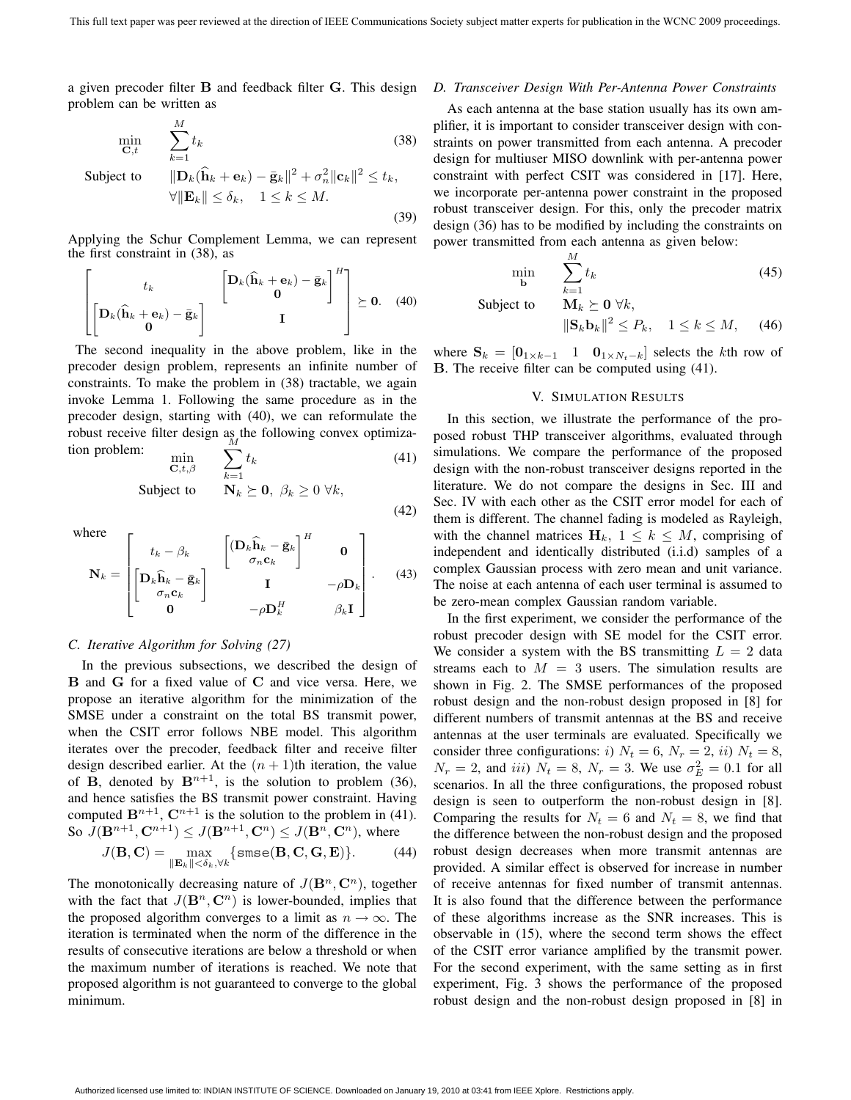a given precoder filter **B** and feedback filter **G**. This design problem can be written as

$$
\min_{\mathbf{C},t} \sum_{k=1}^{M} t_k
$$
\nLet to

\n
$$
\|\mathbf{D}_k(\hat{\mathbf{h}}_k + \mathbf{e}_k) - \bar{\mathbf{g}}_k\|^2 + \sigma_n^2 \|\mathbf{c}_k\|^2 \le t_k,
$$
\n(38)

Subject to

(39)

(42)

 $\overline{\mathbf{u}}$ 

Applying the Schur Complement Lemma, we can represent the first constraint in (38), as

 $\forall \|\mathbf{E}_k\| \leq \delta_k, \quad 1 \leq k \leq M.$ 

$$
\begin{bmatrix} t_k & \begin{bmatrix} \mathbf{D}_k(\widehat{\mathbf{h}}_k + \mathbf{e}_k) - \bar{\mathbf{g}}_k \end{bmatrix}^H \\ \begin{bmatrix} \mathbf{D}_k(\widehat{\mathbf{h}}_k + \mathbf{e}_k) - \bar{\mathbf{g}}_k \\ \mathbf{0} & \mathbf{I} \end{bmatrix} & \geq \mathbf{0}. \quad (40)
$$

The second inequality in the above problem, like in the precoder design problem, represents an infinite number of constraints. To make the problem in (38) tractable, we again invoke Lemma 1. Following the same procedure as in the precoder design, starting with (40), we can reformulate the robust receive filter design as the following convex optimization problem:

$$
\min_{\mathbf{C},t,\beta} \sum_{k=1}^{m,n} t_k \tag{41}
$$

Subject to  $N_k \succeq 0$ ,  $\beta_k \geq 0$   $\forall k$ ,

where

here  
\n
$$
\mathbf{N}_{k} = \begin{bmatrix} t_{k} - \beta_{k} & \begin{bmatrix} (\mathbf{D}_{k}\hat{\mathbf{h}}_{k} - \bar{\mathbf{g}}_{k} \end{bmatrix}^{H} & \mathbf{0} \\ \begin{bmatrix} \mathbf{D}_{k}\hat{\mathbf{h}}_{k} - \bar{\mathbf{g}}_{k} \\ \sigma_{n}\mathbf{c}_{k} \end{bmatrix} & \mathbf{I} & -\rho\mathbf{D}_{k} \\ \mathbf{0} & -\rho\mathbf{D}_{k}^{H} & \beta_{k}\mathbf{I} \end{bmatrix} . \tag{43}
$$

## *C. Iterative Algorithm for Solving (27)*

In the previous subsections, we described the design of **B** and **G** for a fixed value of **C** and vice versa. Here, we propose an iterative algorithm for the minimization of the SMSE under a constraint on the total BS transmit power, when the CSIT error follows NBE model. This algorithm iterates over the precoder, feedback filter and receive filter design described earlier. At the  $(n + 1)$ th iteration, the value of **B**, denoted by  $\mathbf{B}^{n+1}$ , is the solution to problem (36), and hence satisfies the BS transmit power constraint. Having computed  $\mathbf{B}^{n+1}$ ,  $\mathbf{C}^{n+1}$  is the solution to the problem in (41). So  $J(\mathbf{B}^{n+1}, \mathbf{C}^{n+1}) \leq J(\mathbf{B}^{n+1}, \mathbf{C}^n) \leq J(\mathbf{B}^n, \mathbf{C}^n)$ , where

$$
J(\mathbf{B}, \mathbf{C}) = \max_{\|\mathbf{E}_k\| < \delta_k, \forall k} \{\text{smse}(\mathbf{B}, \mathbf{C}, \mathbf{G}, \mathbf{E})\}.
$$
 (44)

The monotonically decreasing nature of  $J(\mathbf{B}^n, \mathbf{C}^n)$ , together with the fact that  $J(\mathbf{B}^n, \mathbf{C}^n)$  is lower-bounded, implies that the proposed algorithm converges to a limit as  $n \to \infty$ . The iteration is terminated when the norm of the difference in the results of consecutive iterations are below a threshold or when the maximum number of iterations is reached. We note that proposed algorithm is not guaranteed to converge to the global minimum.

# *D. Transceiver Design With Per-Antenna Power Constraints*

As each antenna at the base station usually has its own amplifier, it is important to consider transceiver design with constraints on power transmitted from each antenna. A precoder design for multiuser MISO downlink with per-antenna power constraint with perfect CSIT was considered in [17]. Here, we incorporate per-antenna power constraint in the proposed robust transceiver design. For this, only the precoder matrix design (36) has to be modified by including the constraints on power transmitted from each antenna as given below:

$$
\min_{\mathbf{b}} \qquad \sum_{k=1}^{M} t_k \tag{45}
$$

Subject to  $\mathbf{M}_k \succeq \mathbf{0} \ \forall k,$  $\|\mathbf{S}_k \mathbf{b}_k\|^2 \leq P_k$ ,  $1 \leq k \leq M$ , (46)

where  $S_k = \begin{bmatrix} 0_{1 \times k-1} & 1 & 0_{1 \times N_t-k} \end{bmatrix}$  selects the kth row of **B**. The receive filter can be computed using (41).

# V. SIMULATION RESULTS

In this section, we illustrate the performance of the proposed robust THP transceiver algorithms, evaluated through simulations. We compare the performance of the proposed design with the non-robust transceiver designs reported in the literature. We do not compare the designs in Sec. III and Sec. IV with each other as the CSIT error model for each of them is different. The channel fading is modeled as Rayleigh, with the channel matrices  $H_k$ ,  $1 \leq k \leq M$ , comprising of independent and identically distributed (i.i.d) samples of a complex Gaussian process with zero mean and unit variance. The noise at each antenna of each user terminal is assumed to be zero-mean complex Gaussian random variable.

In the first experiment, we consider the performance of the robust precoder design with SE model for the CSIT error. We consider a system with the BS transmitting  $L = 2$  data streams each to  $M = 3$  users. The simulation results are shown in Fig. 2. The SMSE performances of the proposed robust design and the non-robust design proposed in [8] for different numbers of transmit antennas at the BS and receive antennas at the user terminals are evaluated. Specifically we consider three configurations: *i*)  $N_t = 6$ ,  $N_r = 2$ , *ii*)  $N_t = 8$ ,  $N_r = 2$ , and iii)  $N_t = 8$ ,  $N_r = 3$ . We use  $\sigma_E^2 = 0.1$  for all scenarios. In all the three configurations, the proposed robust design is seen to outperform the non-robust design in [8]. Comparing the results for  $N_t = 6$  and  $N_t = 8$ , we find that the difference between the non-robust design and the proposed robust design decreases when more transmit antennas are provided. A similar effect is observed for increase in number of receive antennas for fixed number of transmit antennas. It is also found that the difference between the performance of these algorithms increase as the SNR increases. This is observable in (15), where the second term shows the effect of the CSIT error variance amplified by the transmit power. For the second experiment, with the same setting as in first experiment, Fig. 3 shows the performance of the proposed robust design and the non-robust design proposed in [8] in